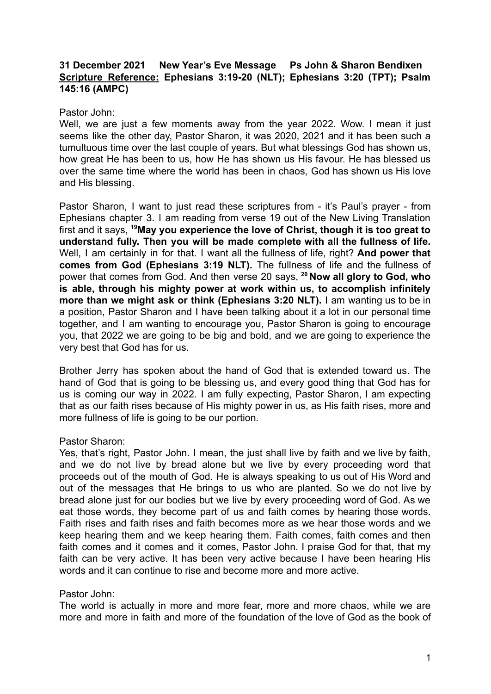# **31 December 2021 New Year's Eve Message Ps John & Sharon Bendixen Scripture Reference: Ephesians 3:19-20 (NLT); Ephesians 3:20 (TPT); Psalm 145:16 (AMPC)**

## Pastor John:

Well, we are just a few moments away from the year 2022. Wow, I mean it just seems like the other day, Pastor Sharon, it was 2020, 2021 and it has been such a tumultuous time over the last couple of years. But what blessings God has shown us, how great He has been to us, how He has shown us His favour. He has blessed us over the same time where the world has been in chaos, God has shown us His love and His blessing.

Pastor Sharon, I want to just read these scriptures from - it's Paul's prayer - from Ephesians chapter 3. I am reading from verse 19 out of the New Living Translation first and it says, **<sup>19</sup>May you experience the love of Christ, though it is too great to understand fully. Then you will be made complete with all the fullness of life.** Well, I am certainly in for that. I want all the fullness of life, right? **And power that comes from God (Ephesians 3:19 NLT).** The fullness of life and the fullness of power that comes from God. And then verse 20 says, **<sup>20</sup> Now all glory to God, who is able, through his mighty power at work within us, to accomplish infinitely more than we might ask or think (Ephesians 3:20 NLT).** I am wanting us to be in a position, Pastor Sharon and I have been talking about it a lot in our personal time together, and I am wanting to encourage you, Pastor Sharon is going to encourage you, that 2022 we are going to be big and bold, and we are going to experience the very best that God has for us.

Brother Jerry has spoken about the hand of God that is extended toward us. The hand of God that is going to be blessing us, and every good thing that God has for us is coming our way in 2022. I am fully expecting, Pastor Sharon, I am expecting that as our faith rises because of His mighty power in us, as His faith rises, more and more fullness of life is going to be our portion.

#### Pastor Sharon:

Yes, that's right, Pastor John. I mean, the just shall live by faith and we live by faith, and we do not live by bread alone but we live by every proceeding word that proceeds out of the mouth of God. He is always speaking to us out of His Word and out of the messages that He brings to us who are planted. So we do not live by bread alone just for our bodies but we live by every proceeding word of God. As we eat those words, they become part of us and faith comes by hearing those words. Faith rises and faith rises and faith becomes more as we hear those words and we keep hearing them and we keep hearing them. Faith comes, faith comes and then faith comes and it comes and it comes, Pastor John. I praise God for that, that my faith can be very active. It has been very active because I have been hearing His words and it can continue to rise and become more and more active.

#### Pastor John:

The world is actually in more and more fear, more and more chaos, while we are more and more in faith and more of the foundation of the love of God as the book of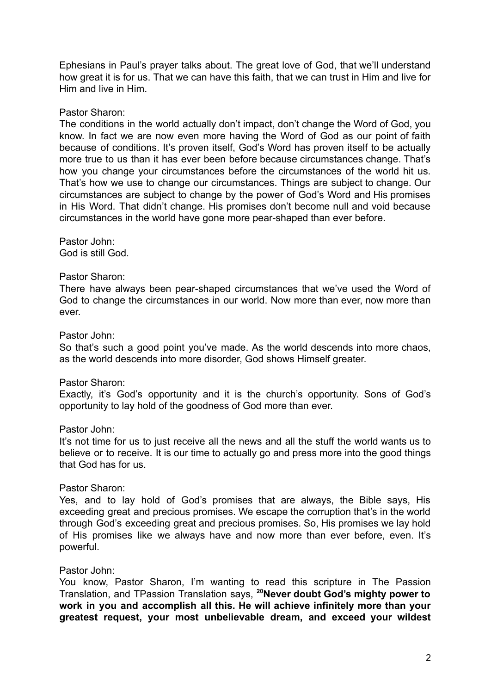Ephesians in Paul's prayer talks about. The great love of God, that we'll understand how great it is for us. That we can have this faith, that we can trust in Him and live for Him and live in Him.

### Pastor Sharon:

The conditions in the world actually don't impact, don't change the Word of God, you know. In fact we are now even more having the Word of God as our point of faith because of conditions. It's proven itself, God's Word has proven itself to be actually more true to us than it has ever been before because circumstances change. That's how you change your circumstances before the circumstances of the world hit us. That's how we use to change our circumstances. Things are subject to change. Our circumstances are subject to change by the power of God's Word and His promises in His Word. That didn't change. His promises don't become null and void because circumstances in the world have gone more pear-shaped than ever before.

Pastor John: God is still God.

### Pastor Sharon:

There have always been pear-shaped circumstances that we've used the Word of God to change the circumstances in our world. Now more than ever, now more than ever.

### Pastor John:

So that's such a good point you've made. As the world descends into more chaos, as the world descends into more disorder, God shows Himself greater.

#### Pastor Sharon:

Exactly, it's God's opportunity and it is the church's opportunity. Sons of God's opportunity to lay hold of the goodness of God more than ever.

### Pastor John:

It's not time for us to just receive all the news and all the stuff the world wants us to believe or to receive. It is our time to actually go and press more into the good things that God has for us.

#### Pastor Sharon:

Yes, and to lay hold of God's promises that are always, the Bible says, His exceeding great and precious promises. We escape the corruption that's in the world through God's exceeding great and precious promises. So, His promises we lay hold of His promises like we always have and now more than ever before, even. It's powerful.

#### Pastor John:

You know, Pastor Sharon, I'm wanting to read this scripture in The Passion Translation, and TPassion Translation says, **<sup>20</sup>Never doubt God's mighty power to work in you and accomplish all this. He will achieve infinitely more than your greatest request, your most unbelievable dream, and exceed your wildest**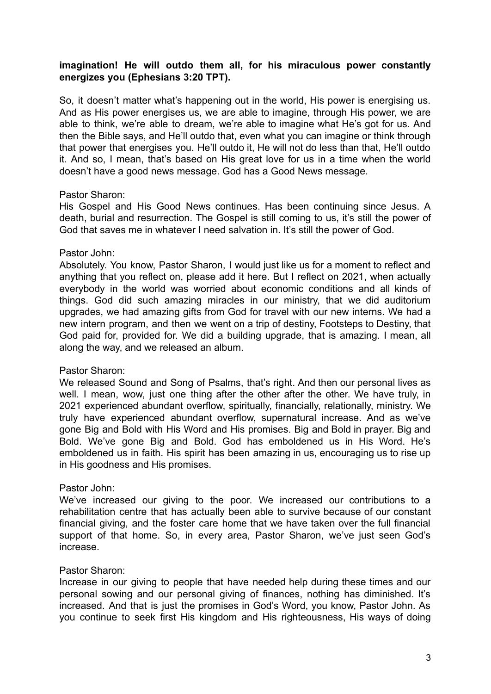# **imagination! He will outdo them all, for his miraculous power constantly energizes you (Ephesians 3:20 TPT).**

So, it doesn't matter what's happening out in the world, His power is energising us. And as His power energises us, we are able to imagine, through His power, we are able to think, we're able to dream, we're able to imagine what He's got for us. And then the Bible says, and He'll outdo that, even what you can imagine or think through that power that energises you. He'll outdo it, He will not do less than that, He'll outdo it. And so, I mean, that's based on His great love for us in a time when the world doesn't have a good news message. God has a Good News message.

### Pastor Sharon:

His Gospel and His Good News continues. Has been continuing since Jesus. A death, burial and resurrection. The Gospel is still coming to us, it's still the power of God that saves me in whatever I need salvation in. It's still the power of God.

# Pastor John:

Absolutely. You know, Pastor Sharon, I would just like us for a moment to reflect and anything that you reflect on, please add it here. But I reflect on 2021, when actually everybody in the world was worried about economic conditions and all kinds of things. God did such amazing miracles in our ministry, that we did auditorium upgrades, we had amazing gifts from God for travel with our new interns. We had a new intern program, and then we went on a trip of destiny, Footsteps to Destiny, that God paid for, provided for. We did a building upgrade, that is amazing. I mean, all along the way, and we released an album.

# Pastor Sharon:

We released Sound and Song of Psalms, that's right. And then our personal lives as well. I mean, wow, just one thing after the other after the other. We have truly, in 2021 experienced abundant overflow, spiritually, financially, relationally, ministry. We truly have experienced abundant overflow, supernatural increase. And as we've gone Big and Bold with His Word and His promises. Big and Bold in prayer. Big and Bold. We've gone Big and Bold. God has emboldened us in His Word. He's emboldened us in faith. His spirit has been amazing in us, encouraging us to rise up in His goodness and His promises.

# Pastor John:

We've increased our giving to the poor. We increased our contributions to a rehabilitation centre that has actually been able to survive because of our constant financial giving, and the foster care home that we have taken over the full financial support of that home. So, in every area, Pastor Sharon, we've just seen God's increase.

# Pastor Sharon:

Increase in our giving to people that have needed help during these times and our personal sowing and our personal giving of finances, nothing has diminished. It's increased. And that is just the promises in God's Word, you know, Pastor John. As you continue to seek first His kingdom and His righteousness, His ways of doing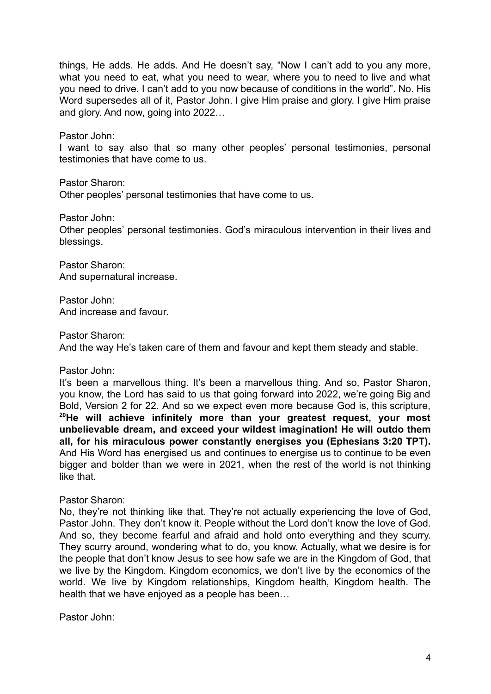things, He adds. He adds. And He doesn't say, "Now I can't add to you any more, what you need to eat, what you need to wear, where you to need to live and what you need to drive. I can't add to you now because of conditions in the world". No. His Word supersedes all of it, Pastor John. I give Him praise and glory. I give Him praise and glory. And now, going into 2022…

Pastor John:

I want to say also that so many other peoples' personal testimonies, personal testimonies that have come to us.

Pastor Sharon:

Other peoples' personal testimonies that have come to us.

Pastor John:

Other peoples' personal testimonies. God's miraculous intervention in their lives and blessings.

Pastor Sharon: And supernatural increase.

Pastor John: And increase and favour.

Pastor Sharon:

And the way He's taken care of them and favour and kept them steady and stable.

Pastor John:

It's been a marvellous thing. It's been a marvellous thing. And so, Pastor Sharon, you know, the Lord has said to us that going forward into 2022, we're going Big and Bold, Version 2 for 22. And so we expect even more because God is, this scripture, **<sup>20</sup>He will achieve infinitely more than your greatest request, your most unbelievable dream, and exceed your wildest imagination! He will outdo them all, for his miraculous power constantly energises you (Ephesians 3:20 TPT).** And His Word has energised us and continues to energise us to continue to be even bigger and bolder than we were in 2021, when the rest of the world is not thinking like that.

Pastor Sharon:

No, they're not thinking like that. They're not actually experiencing the love of God, Pastor John. They don't know it. People without the Lord don't know the love of God. And so, they become fearful and afraid and hold onto everything and they scurry. They scurry around, wondering what to do, you know. Actually, what we desire is for the people that don't know Jesus to see how safe we are in the Kingdom of God, that we live by the Kingdom. Kingdom economics, we don't live by the economics of the world. We live by Kingdom relationships, Kingdom health, Kingdom health. The health that we have enjoyed as a people has been…

Pastor John: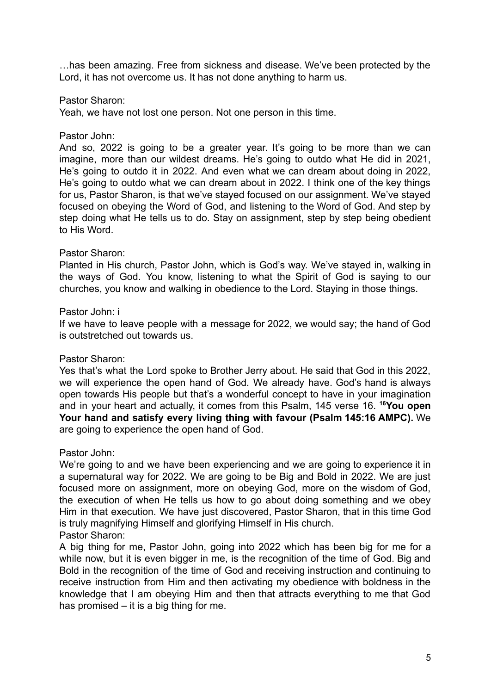…has been amazing. Free from sickness and disease. We've been protected by the Lord, it has not overcome us. It has not done anything to harm us.

Pastor Sharon:

Yeah, we have not lost one person. Not one person in this time.

Pastor John:

And so, 2022 is going to be a greater year. It's going to be more than we can imagine, more than our wildest dreams. He's going to outdo what He did in 2021, He's going to outdo it in 2022. And even what we can dream about doing in 2022, He's going to outdo what we can dream about in 2022. I think one of the key things for us, Pastor Sharon, is that we've stayed focused on our assignment. We've stayed focused on obeying the Word of God, and listening to the Word of God. And step by step doing what He tells us to do. Stay on assignment, step by step being obedient to His Word.

### Pastor Sharon:

Planted in His church, Pastor John, which is God's way. We've stayed in, walking in the ways of God. You know, listening to what the Spirit of God is saying to our churches, you know and walking in obedience to the Lord. Staying in those things.

### Pastor John: i

If we have to leave people with a message for 2022, we would say; the hand of God is outstretched out towards us.

# Pastor Sharon:

Yes that's what the Lord spoke to Brother Jerry about. He said that God in this 2022, we will experience the open hand of God. We already have. God's hand is always open towards His people but that's a wonderful concept to have in your imagination and in your heart and actually, it comes from this Psalm, 145 verse 16. **<sup>16</sup>You open Your hand and satisfy every living thing with favour (Psalm 145:16 AMPC).** We are going to experience the open hand of God.

Pastor John:

We're going to and we have been experiencing and we are going to experience it in a supernatural way for 2022. We are going to be Big and Bold in 2022. We are just focused more on assignment, more on obeying God, more on the wisdom of God, the execution of when He tells us how to go about doing something and we obey Him in that execution. We have just discovered, Pastor Sharon, that in this time God is truly magnifying Himself and glorifying Himself in His church. Pastor Sharon:

A big thing for me, Pastor John, going into 2022 which has been big for me for a while now, but it is even bigger in me, is the recognition of the time of God. Big and Bold in the recognition of the time of God and receiving instruction and continuing to receive instruction from Him and then activating my obedience with boldness in the knowledge that I am obeying Him and then that attracts everything to me that God has promised – it is a big thing for me.